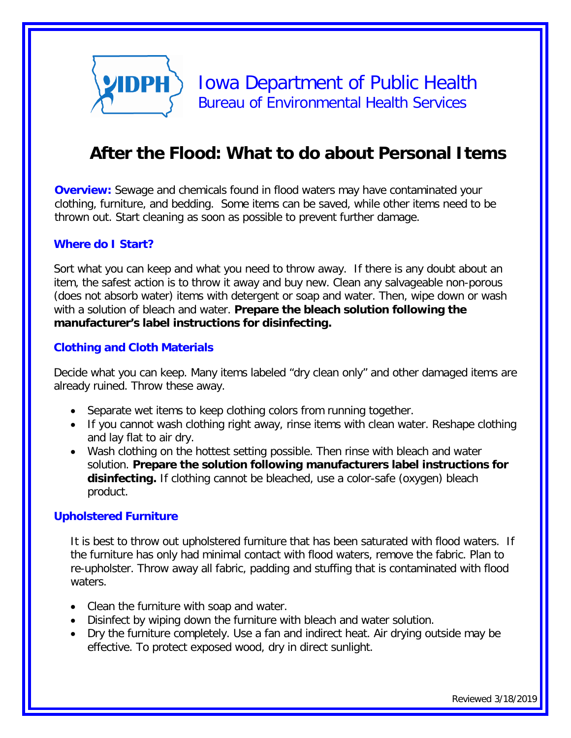

# **After the Flood: What to do about Personal Items**

**Overview:** Sewage and chemicals found in flood waters may have contaminated your clothing, furniture, and bedding. Some items can be saved, while other items need to be thrown out. Start cleaning as soon as possible to prevent further damage.

### **Where do I Start?**

Sort what you can keep and what you need to throw away. If there is any doubt about an item, the safest action is to throw it away and buy new. Clean any salvageable non-porous (does not absorb water) items with detergent or soap and water. Then, wipe down or wash with a solution of bleach and water. **Prepare the bleach solution following the manufacturer's label instructions for disinfecting.** 

### **Clothing and Cloth Materials**

Decide what you can keep. Many items labeled "dry clean only" and other damaged items are already ruined. Throw these away.

- Separate wet items to keep clothing colors from running together.
- If you cannot wash clothing right away, rinse items with clean water. Reshape clothing and lay flat to air dry.
- Wash clothing on the hottest setting possible. Then rinse with bleach and water solution. **Prepare the solution following manufacturers label instructions for disinfecting.** If clothing cannot be bleached, use a color-safe (oxygen) bleach product.

#### **Upholstered Furniture**

It is best to throw out upholstered furniture that has been saturated with flood waters. If the furniture has only had minimal contact with flood waters, remove the fabric. Plan to re-upholster. Throw away all fabric, padding and stuffing that is contaminated with flood waters.

- Clean the furniture with soap and water.
- Disinfect by wiping down the furniture with bleach and water solution.
- Dry the furniture completely. Use a fan and indirect heat. Air drying outside may be effective. To protect exposed wood, dry in direct sunlight.